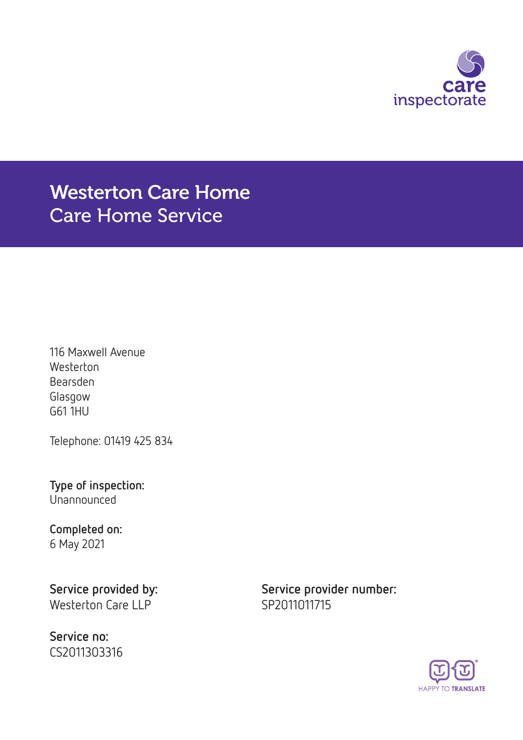

## Westerton Care Home Care Home Service

116 Maxwell Avenue **Westerton** Bearsden Glasgow G61 1HU

Telephone: 01419 425 834

Type of inspection: Unannounced

# Completed on:

6 May 2021

Westerton Care LLP SP2011011715

Service no: CS2011303316

Service provided by: Service provider number:

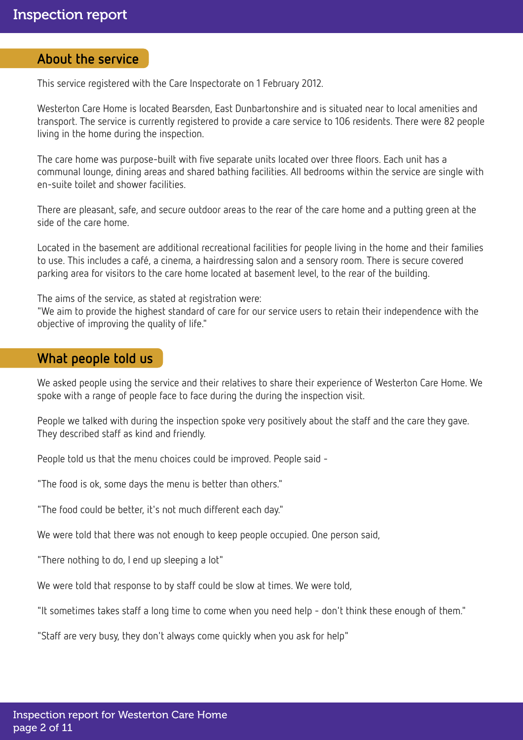### About the service

This service registered with the Care Inspectorate on 1 February 2012.

Westerton Care Home is located Bearsden, East Dunbartonshire and is situated near to local amenities and transport. The service is currently registered to provide a care service to 106 residents. There were 82 people living in the home during the inspection.

The care home was purpose-built with five separate units located over three floors. Each unit has a communal lounge, dining areas and shared bathing facilities. All bedrooms within the service are single with en-suite toilet and shower facilities.

There are pleasant, safe, and secure outdoor areas to the rear of the care home and a putting green at the side of the care home.

Located in the basement are additional recreational facilities for people living in the home and their families to use. This includes a café, a cinema, a hairdressing salon and a sensory room. There is secure covered parking area for visitors to the care home located at basement level, to the rear of the building.

The aims of the service, as stated at registration were:

"We aim to provide the highest standard of care for our service users to retain their independence with the objective of improving the quality of life."

## What people told us

We asked people using the service and their relatives to share their experience of Westerton Care Home. We spoke with a range of people face to face during the during the inspection visit.

People we talked with during the inspection spoke very positively about the staff and the care they gave. They described staff as kind and friendly.

People told us that the menu choices could be improved. People said -

"The food is ok, some days the menu is better than others."

"The food could be better, it's not much different each day."

We were told that there was not enough to keep people occupied. One person said,

"There nothing to do, I end up sleeping a lot"

We were told that response to by staff could be slow at times. We were told,

"It sometimes takes staff a long time to come when you need help - don't think these enough of them."

"Staff are very busy, they don't always come quickly when you ask for help"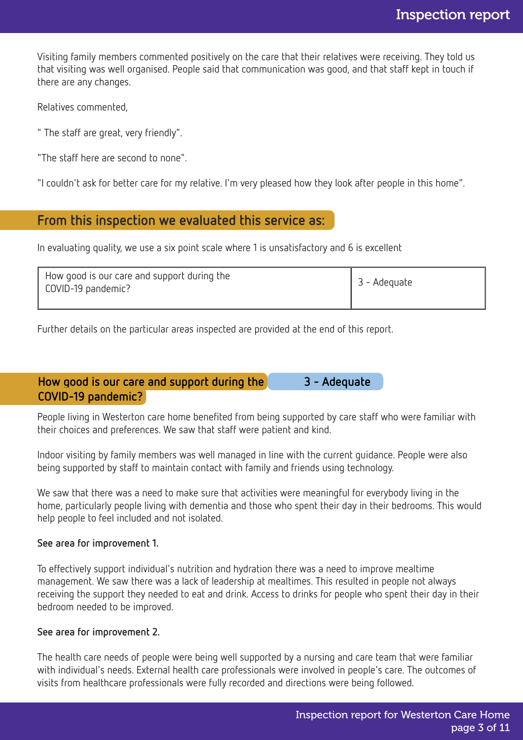Visiting family members commented positively on the care that their relatives were receiving. They told us that visiting was well organised. People said that communication was good, and that staff kept in touch if there are any changes.

Relatives commented,

" The staff are great, very friendly".

"The staff here are second to none".

"I couldn't ask for better care for my relative. I'm very pleased how they look after people in this home".

## From this inspection we evaluated this service as:

In evaluating quality, we use a six point scale where 1 is unsatisfactory and 6 is excellent

| How good is our care and support during the<br>COVID-19 pandemic? | 3 - Adeguate |
|-------------------------------------------------------------------|--------------|
|                                                                   |              |

Further details on the particular areas inspected are provided at the end of this report.

## How good is our care and support during the 3 - Adequate COVID-19 pandemic?

People living in Westerton care home benefited from being supported by care staff who were familiar with their choices and preferences. We saw that staff were patient and kind.

Indoor visiting by family members was well managed in line with the current guidance. People were also being supported by staff to maintain contact with family and friends using technology.

We saw that there was a need to make sure that activities were meaningful for everybody living in the home, particularly people living with dementia and those who spent their day in their bedrooms. This would help people to feel included and not isolated.

#### See area for improvement 1.

To effectively support individual's nutrition and hydration there was a need to improve mealtime management. We saw there was a lack of leadership at mealtimes. This resulted in people not always receiving the support they needed to eat and drink. Access to drinks for people who spent their day in their bedroom needed to be improved.

#### See area for improvement 2.

The health care needs of people were being well supported by a nursing and care team that were familiar with individual's needs. External health care professionals were involved in people's care. The outcomes of visits from healthcare professionals were fully recorded and directions were being followed.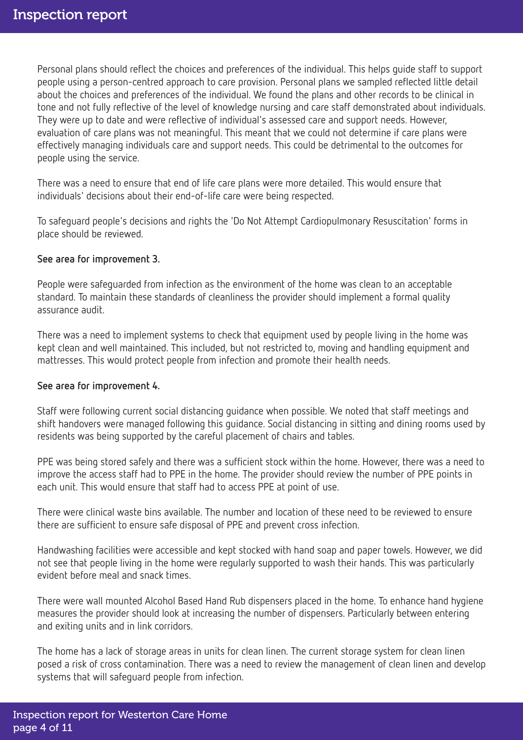Personal plans should reflect the choices and preferences of the individual. This helps guide staff to support people using a person-centred approach to care provision. Personal plans we sampled reflected little detail about the choices and preferences of the individual. We found the plans and other records to be clinical in tone and not fully reflective of the level of knowledge nursing and care staff demonstrated about individuals. They were up to date and were reflective of individual's assessed care and support needs. However, evaluation of care plans was not meaningful. This meant that we could not determine if care plans were effectively managing individuals care and support needs. This could be detrimental to the outcomes for people using the service.

There was a need to ensure that end of life care plans were more detailed. This would ensure that individuals' decisions about their end-of-life care were being respected.

To safeguard people's decisions and rights the 'Do Not Attempt Cardiopulmonary Resuscitation' forms in place should be reviewed.

#### See area for improvement 3.

People were safeguarded from infection as the environment of the home was clean to an acceptable standard. To maintain these standards of cleanliness the provider should implement a formal quality assurance audit.

There was a need to implement systems to check that equipment used by people living in the home was kept clean and well maintained. This included, but not restricted to, moving and handling equipment and mattresses. This would protect people from infection and promote their health needs.

#### See area for improvement 4.

Staff were following current social distancing guidance when possible. We noted that staff meetings and shift handovers were managed following this guidance. Social distancing in sitting and dining rooms used by residents was being supported by the careful placement of chairs and tables.

PPE was being stored safely and there was a sufficient stock within the home. However, there was a need to improve the access staff had to PPE in the home. The provider should review the number of PPE points in each unit. This would ensure that staff had to access PPE at point of use.

There were clinical waste bins available. The number and location of these need to be reviewed to ensure there are sufficient to ensure safe disposal of PPE and prevent cross infection.

Handwashing facilities were accessible and kept stocked with hand soap and paper towels. However, we did not see that people living in the home were regularly supported to wash their hands. This was particularly evident before meal and snack times.

There were wall mounted Alcohol Based Hand Rub dispensers placed in the home. To enhance hand hygiene measures the provider should look at increasing the number of dispensers. Particularly between entering and exiting units and in link corridors.

The home has a lack of storage areas in units for clean linen. The current storage system for clean linen posed a risk of cross contamination. There was a need to review the management of clean linen and develop systems that will safeguard people from infection.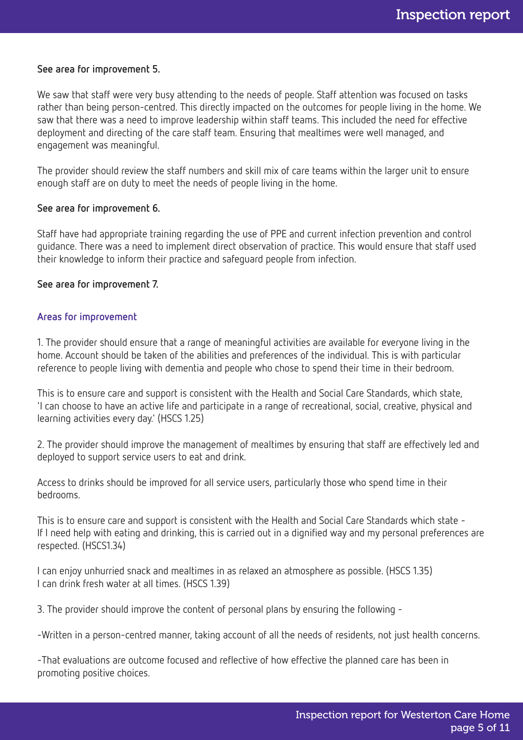#### See area for improvement 5.

We saw that staff were very busy attending to the needs of people. Staff attention was focused on tasks rather than being person-centred. This directly impacted on the outcomes for people living in the home. We saw that there was a need to improve leadership within staff teams. This included the need for effective deployment and directing of the care staff team. Ensuring that mealtimes were well managed, and engagement was meaningful.

The provider should review the staff numbers and skill mix of care teams within the larger unit to ensure enough staff are on duty to meet the needs of people living in the home.

#### See area for improvement 6.

Staff have had appropriate training regarding the use of PPE and current infection prevention and control guidance. There was a need to implement direct observation of practice. This would ensure that staff used their knowledge to inform their practice and safeguard people from infection.

#### See area for improvement 7.

#### Areas for improvement

1. The provider should ensure that a range of meaningful activities are available for everyone living in the home. Account should be taken of the abilities and preferences of the individual. This is with particular reference to people living with dementia and people who chose to spend their time in their bedroom.

This is to ensure care and support is consistent with the Health and Social Care Standards, which state, 'I can choose to have an active life and participate in a range of recreational, social, creative, physical and learning activities every day.' (HSCS 1.25)

2. The provider should improve the management of mealtimes by ensuring that staff are effectively led and deployed to support service users to eat and drink.

Access to drinks should be improved for all service users, particularly those who spend time in their bedrooms.

This is to ensure care and support is consistent with the Health and Social Care Standards which state - If I need help with eating and drinking, this is carried out in a dignified way and my personal preferences are respected. (HSCS1.34)

I can enjoy unhurried snack and mealtimes in as relaxed an atmosphere as possible. (HSCS 1.35) I can drink fresh water at all times. (HSCS 1.39)

3. The provider should improve the content of personal plans by ensuring the following -

-Written in a person-centred manner, taking account of all the needs of residents, not just health concerns.

-That evaluations are outcome focused and reflective of how effective the planned care has been in promoting positive choices.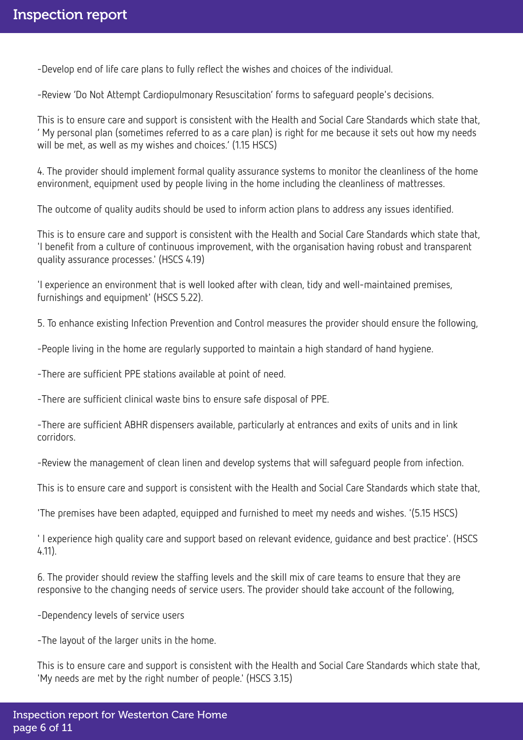-Develop end of life care plans to fully reflect the wishes and choices of the individual.

-Review 'Do Not Attempt Cardiopulmonary Resuscitation' forms to safeguard people's decisions.

This is to ensure care and support is consistent with the Health and Social Care Standards which state that, ' My personal plan (sometimes referred to as a care plan) is right for me because it sets out how my needs will be met, as well as my wishes and choices.' (1.15 HSCS)

4. The provider should implement formal quality assurance systems to monitor the cleanliness of the home environment, equipment used by people living in the home including the cleanliness of mattresses.

The outcome of quality audits should be used to inform action plans to address any issues identified.

This is to ensure care and support is consistent with the Health and Social Care Standards which state that, 'I benefit from a culture of continuous improvement, with the organisation having robust and transparent quality assurance processes.' (HSCS 4.19)

'I experience an environment that is well looked after with clean, tidy and well-maintained premises, furnishings and equipment' (HSCS 5.22).

5. To enhance existing Infection Prevention and Control measures the provider should ensure the following,

-People living in the home are regularly supported to maintain a high standard of hand hygiene.

-There are sufficient PPE stations available at point of need.

-There are sufficient clinical waste bins to ensure safe disposal of PPE.

-There are sufficient ABHR dispensers available, particularly at entrances and exits of units and in link corridors.

-Review the management of clean linen and develop systems that will safeguard people from infection.

This is to ensure care and support is consistent with the Health and Social Care Standards which state that,

'The premises have been adapted, equipped and furnished to meet my needs and wishes. '(5.15 HSCS)

' I experience high quality care and support based on relevant evidence, guidance and best practice'. (HSCS 4.11).

6. The provider should review the staffing levels and the skill mix of care teams to ensure that they are responsive to the changing needs of service users. The provider should take account of the following,

-Dependency levels of service users

-The layout of the larger units in the home.

This is to ensure care and support is consistent with the Health and Social Care Standards which state that, 'My needs are met by the right number of people.' (HSCS 3.15)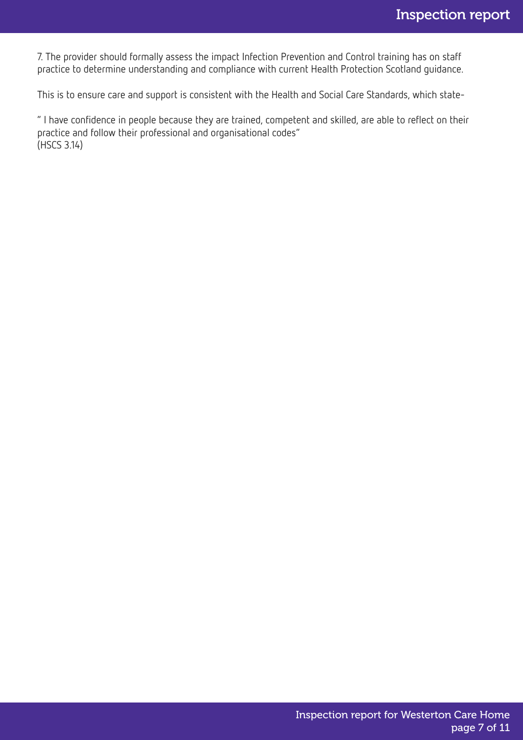7. The provider should formally assess the impact Infection Prevention and Control training has on staff practice to determine understanding and compliance with current Health Protection Scotland guidance.

This is to ensure care and support is consistent with the Health and Social Care Standards, which state-

" I have confidence in people because they are trained, competent and skilled, are able to reflect on their practice and follow their professional and organisational codes" (HSCS 3.14)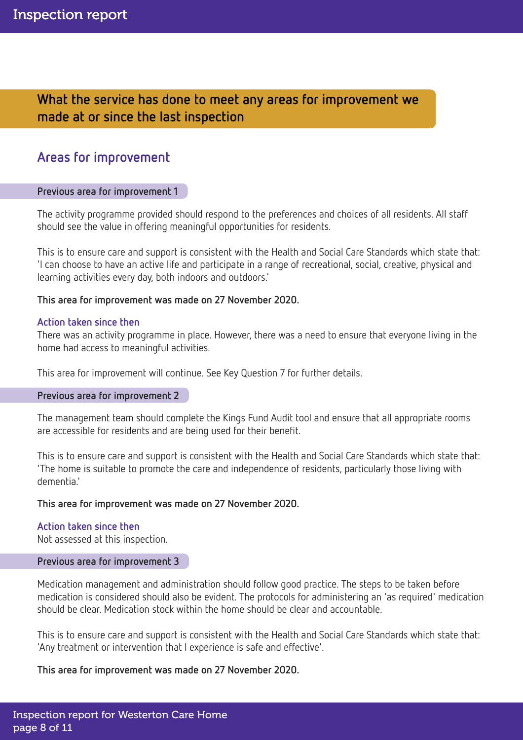What the service has done to meet any areas for improvement we made at or since the last inspection

## Areas for improvement

#### Previous area for improvement 1

The activity programme provided should respond to the preferences and choices of all residents. All staff should see the value in offering meaningful opportunities for residents.

This is to ensure care and support is consistent with the Health and Social Care Standards which state that: 'I can choose to have an active life and participate in a range of recreational, social, creative, physical and learning activities every day, both indoors and outdoors.'

#### This area for improvement was made on 27 November 2020.

#### Action taken since then

There was an activity programme in place. However, there was a need to ensure that everyone living in the home had access to meaningful activities.

This area for improvement will continue. See Key Question 7 for further details.

#### Previous area for improvement 2

The management team should complete the Kings Fund Audit tool and ensure that all appropriate rooms are accessible for residents and are being used for their benefit.

This is to ensure care and support is consistent with the Health and Social Care Standards which state that: 'The home is suitable to promote the care and independence of residents, particularly those living with dementia.'

#### This area for improvement was made on 27 November 2020.

#### Action taken since then

Not assessed at this inspection.

#### Previous area for improvement 3

Medication management and administration should follow good practice. The steps to be taken before medication is considered should also be evident. The protocols for administering an 'as required' medication should be clear. Medication stock within the home should be clear and accountable.

This is to ensure care and support is consistent with the Health and Social Care Standards which state that: 'Any treatment or intervention that I experience is safe and effective'.

#### This area for improvement was made on 27 November 2020.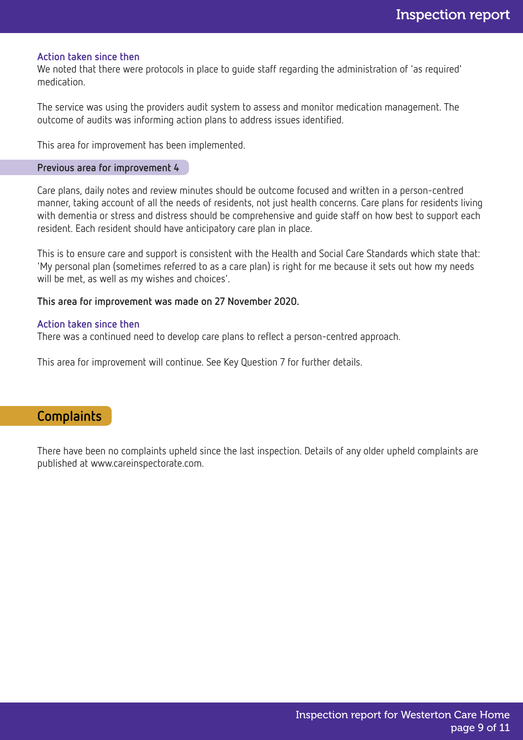#### Action taken since then

We noted that there were protocols in place to guide staff regarding the administration of 'as required' medication.

The service was using the providers audit system to assess and monitor medication management. The outcome of audits was informing action plans to address issues identified.

This area for improvement has been implemented.

#### Previous area for improvement 4

Care plans, daily notes and review minutes should be outcome focused and written in a person-centred manner, taking account of all the needs of residents, not just health concerns. Care plans for residents living with dementia or stress and distress should be comprehensive and guide staff on how best to support each resident. Each resident should have anticipatory care plan in place.

This is to ensure care and support is consistent with the Health and Social Care Standards which state that: 'My personal plan (sometimes referred to as a care plan) is right for me because it sets out how my needs will be met, as well as my wishes and choices'.

#### This area for improvement was made on 27 November 2020.

#### Action taken since then

There was a continued need to develop care plans to reflect a person-centred approach.

This area for improvement will continue. See Key Question 7 for further details.

### Complaints

There have been no complaints upheld since the last inspection. Details of any older upheld complaints are published at www.careinspectorate.com.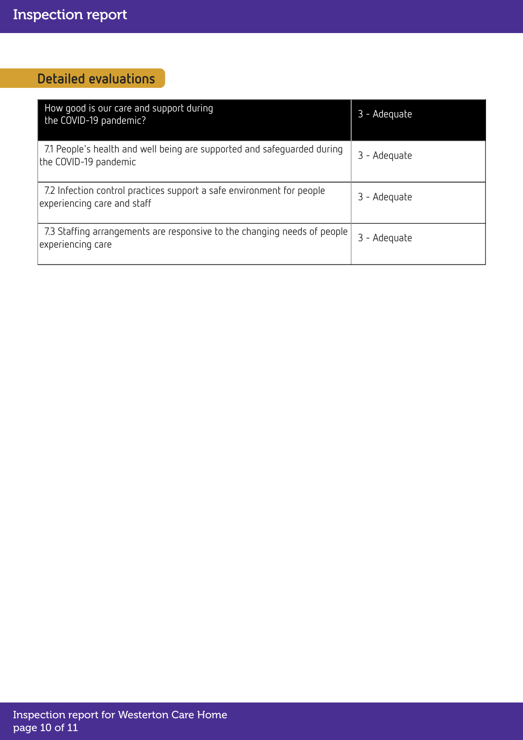## Detailed evaluations

| How good is our care and support during<br>the COVID-19 pandemic?                                    | 3 - Adequate |
|------------------------------------------------------------------------------------------------------|--------------|
| 7.1 People's health and well being are supported and safeguarded during<br>the COVID-19 pandemic     | 3 - Adequate |
| 7.2 Infection control practices support a safe environment for people<br>experiencing care and staff | 3 - Adequate |
| 7.3 Staffing arrangements are responsive to the changing needs of people<br>experiencing care        | 3 - Adequate |